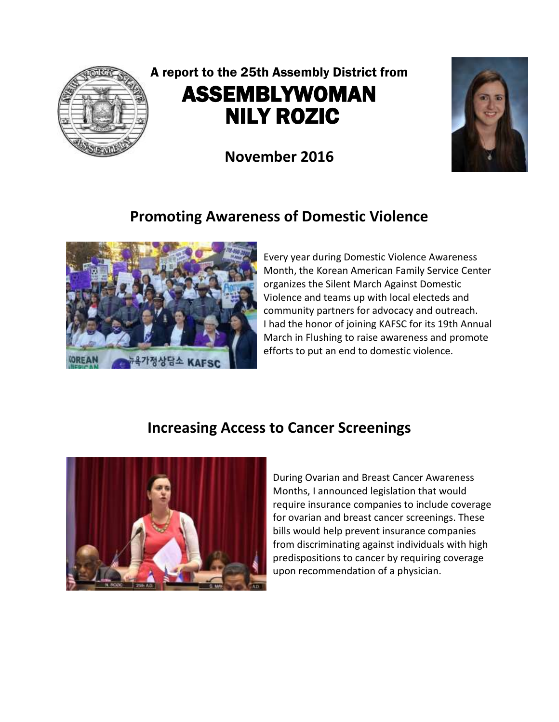

# A report to the 25th Assembly District from ASSEMBLYWOMAN NILY ROZIC

**November 2016**



## **Promoting Awareness of Domestic Violence**



Every year during Domestic Violence Awareness Month, the Korean American Family Service Center organizes the Silent March Against Domestic Violence and teams up with local electeds and community partners for advocacy and outreach. I had the honor of joining KAFSC for its 19th Annual March in Flushing to raise awareness and promote efforts to put an end to domestic violence.

#### **Increasing Access to Cancer Screenings**



During Ovarian and Breast Cancer Awareness Months, I announced legislation that would require insurance companies to include coverage for ovarian and breast cancer screenings. These bills would help prevent insurance companies from discriminating against individuals with high predispositions to cancer by requiring coverage upon recommendation of a physician.